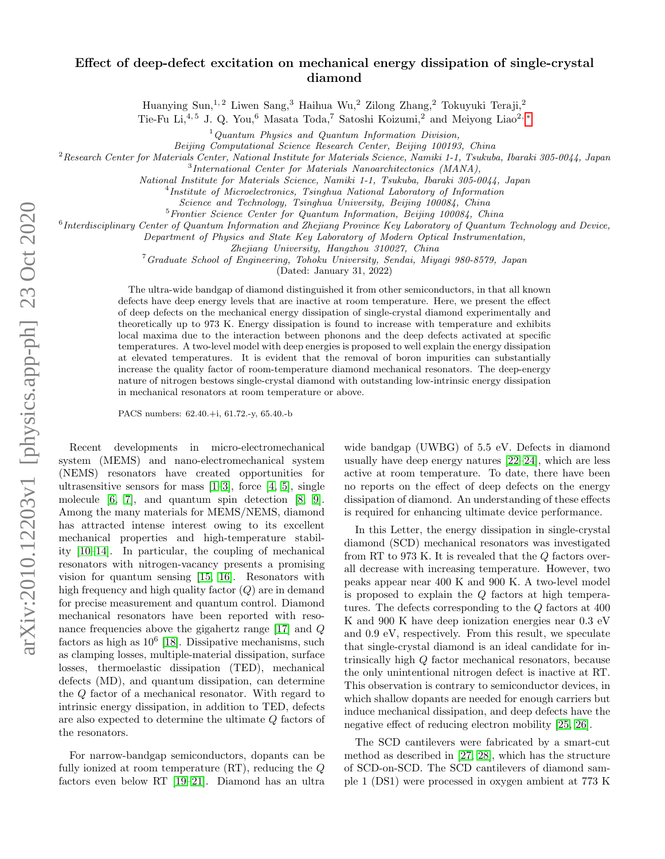## Effect of deep-defect excitation on mechanical energy dissipation of single-crystal diamond

Huanying Sun, $^{1,\,2}$  Liwen Sang, $^3$  Haihua Wu, $^2$  Zilong Zhang, $^2$  Tokuyuki Teraji, $^2$ 

Tie-Fu Li,<sup>4, 5</sup> J. Q. You,<sup>6</sup> Masata Toda,<sup>7</sup> Satoshi Koizumi,<sup>2</sup> and Meiyong Liao<sup>2, [∗](#page-4-0)</sup>

 $1$ Quantum Physics and Quantum Information Division,

Beijing Computational Science Research Center, Beijing 100193, China

<sup>2</sup>Research Center for Materials Center, National Institute for Materials Science, Namiki 1-1, Tsukuba, Ibaraki 305-0044, Japan

<sup>3</sup>International Center for Materials Nanoarchitectonics (MANA),

National Institute for Materials Science, Namiki 1-1, Tsukuba, Ibaraki 305-0044, Japan

4 Institute of Microelectronics, Tsinghua National Laboratory of Information

Science and Technology, Tsinghua University, Beijing 100084, China

<sup>5</sup>Frontier Science Center for Quantum Information, Beijing 100084, China

<sup>6</sup> Interdisciplinary Center of Quantum Information and Zhejiang Province Key Laboratory of Quantum Technology and Device,

Department of Physics and State Key Laboratory of Modern Optical Instrumentation,

Zhejiang University, Hangzhou 310027, China

<sup>7</sup>Graduate School of Engineering, Tohoku University, Sendai, Miyagi 980-8579, Japan

(Dated: January 31, 2022)

The ultra-wide bandgap of diamond distinguished it from other semiconductors, in that all known defects have deep energy levels that are inactive at room temperature. Here, we present the effect of deep defects on the mechanical energy dissipation of single-crystal diamond experimentally and theoretically up to 973 K. Energy dissipation is found to increase with temperature and exhibits local maxima due to the interaction between phonons and the deep defects activated at specific temperatures. A two-level model with deep energies is proposed to well explain the energy dissipation at elevated temperatures. It is evident that the removal of boron impurities can substantially increase the quality factor of room-temperature diamond mechanical resonators. The deep-energy nature of nitrogen bestows single-crystal diamond with outstanding low-intrinsic energy dissipation in mechanical resonators at room temperature or above.

PACS numbers: 62.40.+i, 61.72.-y, 65.40.-b

Recent developments in micro-electromechanical system (MEMS) and nano-electromechanical system (NEMS) resonators have created opportunities for ultrasensitive sensors for mass  $[1-3]$  $[1-3]$ , force  $[4, 5]$  $[4, 5]$ , single molecule [\[6,](#page-4-5) [7\]](#page-4-6), and quantum spin detection [\[8,](#page-4-7) [9\]](#page-4-8). Among the many materials for MEMS/NEMS, diamond has attracted intense interest owing to its excellent mechanical properties and high-temperature stability [\[10](#page-4-9)[–14\]](#page-4-10). In particular, the coupling of mechanical resonators with nitrogen-vacancy presents a promising vision for quantum sensing [\[15,](#page-4-11) [16\]](#page-4-12). Resonators with high frequency and high quality factor  $(Q)$  are in demand for precise measurement and quantum control. Diamond mechanical resonators have been reported with resonance frequencies above the gigahertz range [\[17\]](#page-4-13) and Q factors as high as  $10^6$  [\[18\]](#page-4-14). Dissipative mechanisms, such as clamping losses, multiple-material dissipation, surface losses, thermoelastic dissipation (TED), mechanical defects (MD), and quantum dissipation, can determine the Q factor of a mechanical resonator. With regard to intrinsic energy dissipation, in addition to TED, defects are also expected to determine the ultimate Q factors of the resonators.

For narrow-bandgap semiconductors, dopants can be fully ionized at room temperature (RT), reducing the Q factors even below RT [\[19–](#page-4-15)[21\]](#page-4-16). Diamond has an ultra

wide bandgap (UWBG) of 5.5 eV. Defects in diamond usually have deep energy natures [\[22–](#page-4-17)[24\]](#page-4-18), which are less active at room temperature. To date, there have been no reports on the effect of deep defects on the energy dissipation of diamond. An understanding of these effects is required for enhancing ultimate device performance.

In this Letter, the energy dissipation in single-crystal diamond (SCD) mechanical resonators was investigated from RT to 973 K. It is revealed that the Q factors overall decrease with increasing temperature. However, two peaks appear near 400 K and 900 K. A two-level model is proposed to explain the Q factors at high temperatures. The defects corresponding to the  $Q$  factors at  $400$ K and 900 K have deep ionization energies near 0.3 eV and 0.9 eV, respectively. From this result, we speculate that single-crystal diamond is an ideal candidate for intrinsically high Q factor mechanical resonators, because the only unintentional nitrogen defect is inactive at RT. This observation is contrary to semiconductor devices, in which shallow dopants are needed for enough carriers but induce mechanical dissipation, and deep defects have the negative effect of reducing electron mobility [\[25,](#page-4-19) [26\]](#page-4-20).

The SCD cantilevers were fabricated by a smart-cut method as described in [\[27,](#page-4-21) [28\]](#page-4-22), which has the structure of SCD-on-SCD. The SCD cantilevers of diamond sample 1 (DS1) were processed in oxygen ambient at 773 K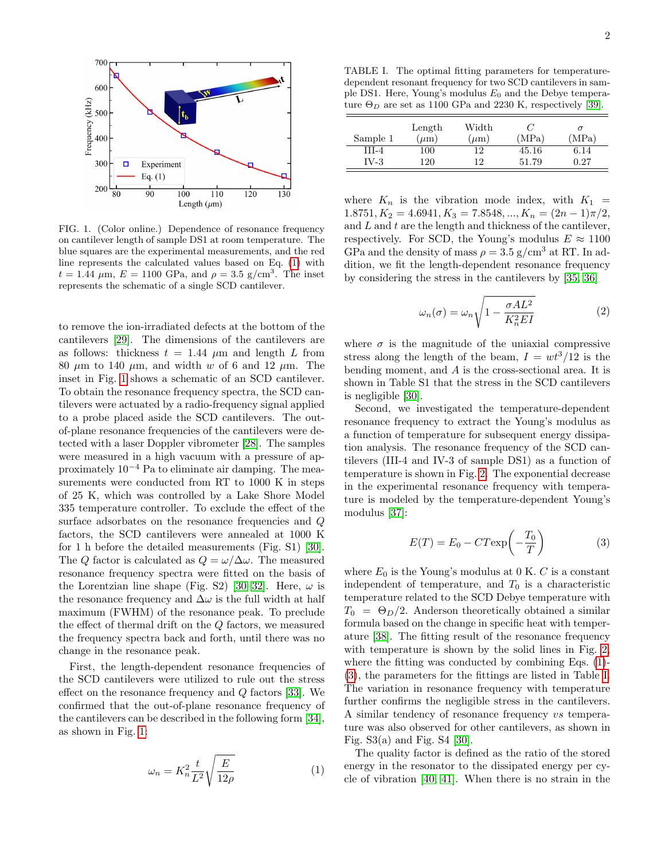

<span id="page-1-1"></span>FIG. 1. (Color online.) Dependence of resonance frequency on cantilever length of sample DS1 at room temperature. The blue squares are the experimental measurements, and the red line represents the calculated values based on Eq. [\(1\)](#page-1-0) with  $t = 1.44 \mu \text{m}, E = 1100 \text{ GPa}, \text{ and } \rho = 3.5 \text{ g/cm}^3$ . The inset represents the schematic of a single SCD cantilever.

to remove the ion-irradiated defects at the bottom of the cantilevers [\[29\]](#page-4-23). The dimensions of the cantilevers are as follows: thickness  $t = 1.44 \mu m$  and length L from 80  $\mu$ m to 140  $\mu$ m, and width w of 6 and 12  $\mu$ m. The inset in Fig. [1](#page-1-1) shows a schematic of an SCD cantilever. To obtain the resonance frequency spectra, the SCD cantilevers were actuated by a radio-frequency signal applied to a probe placed aside the SCD cantilevers. The outof-plane resonance frequencies of the cantilevers were detected with a laser Doppler vibrometer [\[28\]](#page-4-22). The samples were measured in a high vacuum with a pressure of approximately  $10^{-4}$  Pa to eliminate air damping. The measurements were conducted from RT to 1000 K in steps of 25 K, which was controlled by a Lake Shore Model 335 temperature controller. To exclude the effect of the surface adsorbates on the resonance frequencies and Q factors, the SCD cantilevers were annealed at 1000 K for 1 h before the detailed measurements (Fig. S1) [\[30\]](#page-4-24). The Q factor is calculated as  $Q = \omega/\Delta\omega$ . The measured resonance frequency spectra were fitted on the basis of the Lorentzian line shape (Fig. S2) [\[30–](#page-4-24)[32\]](#page-4-25). Here,  $\omega$  is the resonance frequency and  $\Delta\omega$  is the full width at half maximum (FWHM) of the resonance peak. To preclude the effect of thermal drift on the Q factors, we measured the frequency spectra back and forth, until there was no change in the resonance peak.

First, the length-dependent resonance frequencies of the SCD cantilevers were utilized to rule out the stress effect on the resonance frequency and  $Q$  factors [\[33\]](#page-4-26). We confirmed that the out-of-plane resonance frequency of the cantilevers can be described in the following form [\[34\]](#page-5-0), as shown in Fig. [1:](#page-1-1)

<span id="page-1-0"></span>
$$
\omega_n = K_n^2 \frac{t}{L^2} \sqrt{\frac{E}{12\rho}} \tag{1}
$$

<span id="page-1-3"></span>TABLE I. The optimal fitting parameters for temperaturedependent resonant frequency for two SCD cantilevers in sample DS1. Here, Young's modulus  $E_0$  and the Debye temperature  $\Theta_D$  are set as 1100 GPa and 2230 K, respectively [\[39\]](#page-5-1).

| Sample 1 | Length<br>$(\mu m)$ | Width<br>$(\mu m)$ | $\epsilon$<br>'MPa) | (MPa) |
|----------|---------------------|--------------------|---------------------|-------|
| HL-4     | 100                 | 12                 | 45.16               | 6.14  |
| IV-3     | 120                 | 12                 | 51.79               | 0.27  |

where  $K_n$  is the vibration mode index, with  $K_1$  =  $1.8751, K_2 = 4.6941, K_3 = 7.8548, ..., K_n = (2n - 1)\pi/2,$ and  $L$  and  $t$  are the length and thickness of the cantilever, respectively. For SCD, the Young's modulus  $E \approx 1100$ GPa and the density of mass  $\rho = 3.5$  g/cm<sup>3</sup> at RT. In addition, we fit the length-dependent resonance frequency by considering the stress in the cantilevers by [\[35,](#page-5-2) [36\]](#page-5-3)

$$
\omega_n(\sigma) = \omega_n \sqrt{1 - \frac{\sigma A L^2}{K_n^2 E I}} \tag{2}
$$

where  $\sigma$  is the magnitude of the uniaxial compressive stress along the length of the beam,  $I = wt^3/12$  is the bending moment, and A is the cross-sectional area. It is shown in Table S1 that the stress in the SCD cantilevers is negligible [\[30\]](#page-4-24).

Second, we investigated the temperature-dependent resonance frequency to extract the Young's modulus as a function of temperature for subsequent energy dissipation analysis. The resonance frequency of the SCD cantilevers (III-4 and IV-3 of sample DS1) as a function of temperature is shown in Fig. [2.](#page-2-0) The exponential decrease in the experimental resonance frequency with temperature is modeled by the temperature-dependent Young's modulus [\[37\]](#page-5-4):

<span id="page-1-2"></span>
$$
E(T) = E_0 - CT \exp\left(-\frac{T_0}{T}\right) \tag{3}
$$

where  $E_0$  is the Young's modulus at 0 K. C is a constant independent of temperature, and  $T_0$  is a characteristic temperature related to the SCD Debye temperature with  $T_0 = \Theta_D/2$ . Anderson theoretically obtained a similar formula based on the change in specific heat with temperature [\[38\]](#page-5-5). The fitting result of the resonance frequency with temperature is shown by the solid lines in Fig. [2,](#page-2-0) where the fitting was conducted by combining Eqs. [\(1\)](#page-1-0)- [\(3\)](#page-1-2), the parameters for the fittings are listed in Table [I.](#page-1-3) The variation in resonance frequency with temperature further confirms the negligible stress in the cantilevers. A similar tendency of resonance frequency vs temperature was also observed for other cantilevers, as shown in Fig.  $S3(a)$  and Fig.  $S4$  [\[30\]](#page-4-24).

The quality factor is defined as the ratio of the stored energy in the resonator to the dissipated energy per cycle of vibration [\[40,](#page-5-6) [41\]](#page-5-7). When there is no strain in the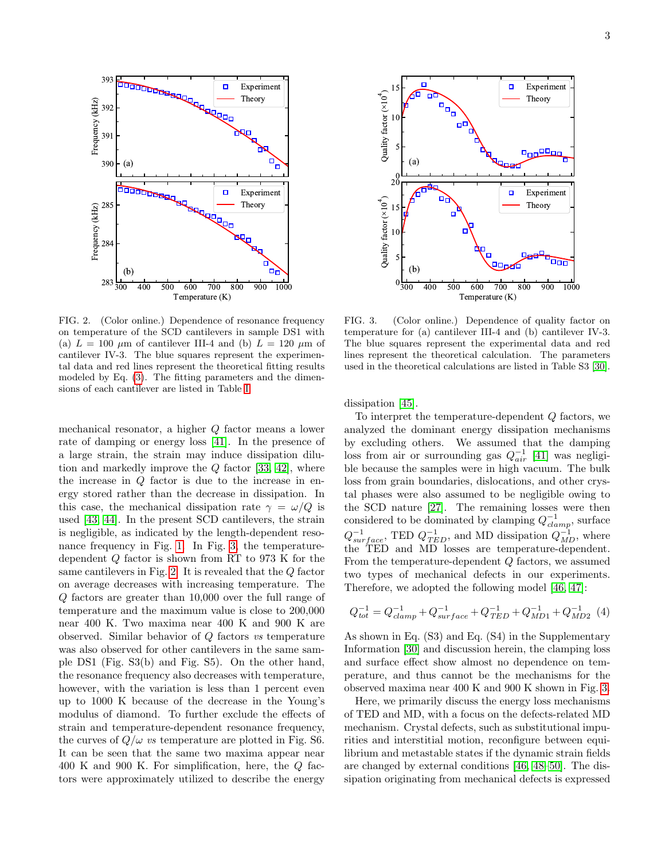

<span id="page-2-0"></span>FIG. 2. (Color online.) Dependence of resonance frequency on temperature of the SCD cantilevers in sample DS1 with (a)  $L = 100 \mu m$  of cantilever III-4 and (b)  $L = 120 \mu m$  of cantilever IV-3. The blue squares represent the experimental data and red lines represent the theoretical fitting results modeled by Eq. [\(3\)](#page-1-2). The fitting parameters and the dimensions of each cantilever are listed in Table [I.](#page-1-3)

mechanical resonator, a higher Q factor means a lower rate of damping or energy loss [\[41\]](#page-5-7). In the presence of a large strain, the strain may induce dissipation dilution and markedly improve the  $Q$  factor [\[33,](#page-4-26) [42\]](#page-5-8), where the increase in  $Q$  factor is due to the increase in energy stored rather than the decrease in dissipation. In this case, the mechanical dissipation rate  $\gamma = \omega/Q$  is used [\[43,](#page-5-9) [44\]](#page-5-10). In the present SCD cantilevers, the strain is negligible, as indicated by the length-dependent resonance frequency in Fig. [1.](#page-1-1) In Fig. [3,](#page-2-1) the temperaturedependent Q factor is shown from RT to 973 K for the same cantilevers in Fig. [2.](#page-2-0) It is revealed that the Q factor on average decreases with increasing temperature. The Q factors are greater than 10,000 over the full range of temperature and the maximum value is close to 200,000 near 400 K. Two maxima near 400 K and 900 K are observed. Similar behavior of Q factors vs temperature was also observed for other cantilevers in the same sample DS1 (Fig. S3(b) and Fig. S5). On the other hand, the resonance frequency also decreases with temperature, however, with the variation is less than 1 percent even up to 1000 K because of the decrease in the Young's modulus of diamond. To further exclude the effects of strain and temperature-dependent resonance frequency, the curves of  $Q/\omega$  vs temperature are plotted in Fig. S6. It can be seen that the same two maxima appear near 400 K and 900 K. For simplification, here, the Q factors were approximately utilized to describe the energy



<span id="page-2-1"></span>FIG. 3. (Color online.) Dependence of quality factor on temperature for (a) cantilever III-4 and (b) cantilever IV-3. The blue squares represent the experimental data and red lines represent the theoretical calculation. The parameters used in the theoretical calculations are listed in Table S3 [\[30\]](#page-4-24).

dissipation [\[45\]](#page-5-11).

To interpret the temperature-dependent Q factors, we analyzed the dominant energy dissipation mechanisms by excluding others. We assumed that the damping loss from air or surrounding gas  $Q_{air}^{-1}$  [\[41\]](#page-5-7) was negligible because the samples were in high vacuum. The bulk loss from grain boundaries, dislocations, and other crystal phases were also assumed to be negligible owing to the SCD nature [\[27\]](#page-4-21). The remaining losses were then considered to be dominated by clamping  $Q_{clamp}^{-1}$ , surface  $Q^{-1}_{surface}$ , TED  $Q^{-1}_{TED}$ , and MD dissipation  $Q^{-1}_{MD}$ , where the TED and MD losses are temperature-dependent. From the temperature-dependent Q factors, we assumed two types of mechanical defects in our experiments. Therefore, we adopted the following model [\[46,](#page-5-12) [47\]](#page-5-13):

<span id="page-2-2"></span>
$$
Q_{tot}^{-1} = Q_{clamp}^{-1} + Q_{surface}^{-1} + Q_{TED}^{-1} + Q_{MD1}^{-1} + Q_{MD2}^{-1} (4)
$$

As shown in Eq. (S3) and Eq. (S4) in the Supplementary Information [\[30\]](#page-4-24) and discussion herein, the clamping loss and surface effect show almost no dependence on temperature, and thus cannot be the mechanisms for the observed maxima near 400 K and 900 K shown in Fig. [3.](#page-2-1)

Here, we primarily discuss the energy loss mechanisms of TED and MD, with a focus on the defects-related MD mechanism. Crystal defects, such as substitutional impurities and interstitial motion, reconfigure between equilibrium and metastable states if the dynamic strain fields are changed by external conditions [\[46,](#page-5-12) [48–](#page-5-14)[50\]](#page-5-15). The dissipation originating from mechanical defects is expressed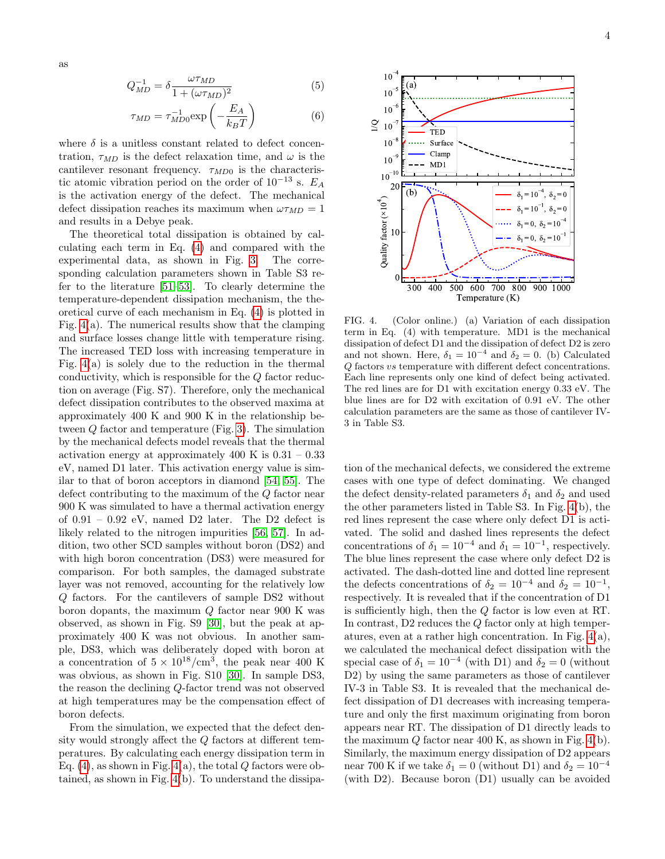as

$$
Q_{MD}^{-1} = \delta \frac{\omega \tau_{MD}}{1 + (\omega \tau_{MD})^2} \tag{5}
$$

$$
\tau_{MD} = \tau_{MD0}^{-1} \exp\left(-\frac{E_A}{k_B T}\right) \tag{6}
$$

where  $\delta$  is a unitless constant related to defect concentration,  $\tau_{MD}$  is the defect relaxation time, and  $\omega$  is the cantilever resonant frequency.  $\tau_{MD0}$  is the characteristic atomic vibration period on the order of  $10^{-13}$  s.  $E_A$ is the activation energy of the defect. The mechanical defect dissipation reaches its maximum when  $\omega \tau_{MD} = 1$ and results in a Debye peak.

The theoretical total dissipation is obtained by calculating each term in Eq. [\(4\)](#page-2-2) and compared with the experimental data, as shown in Fig. [3.](#page-2-1) The corresponding calculation parameters shown in Table S3 refer to the literature [\[51–](#page-5-16)[53\]](#page-5-17). To clearly determine the temperature-dependent dissipation mechanism, the theoretical curve of each mechanism in Eq. [\(4\)](#page-2-2) is plotted in Fig. [4\(](#page-3-0)a). The numerical results show that the clamping and surface losses change little with temperature rising. The increased TED loss with increasing temperature in Fig.  $4(a)$  is solely due to the reduction in the thermal conductivity, which is responsible for the Q factor reduction on average (Fig. S7). Therefore, only the mechanical defect dissipation contributes to the observed maxima at approximately 400 K and 900 K in the relationship between Q factor and temperature (Fig. [3\)](#page-2-1). The simulation by the mechanical defects model reveals that the thermal activation energy at approximately 400 K is  $0.31 - 0.33$ eV, named D1 later. This activation energy value is similar to that of boron acceptors in diamond [\[54,](#page-5-18) [55\]](#page-5-19). The defect contributing to the maximum of the Q factor near 900 K was simulated to have a thermal activation energy of  $0.91 - 0.92$  eV, named D2 later. The D2 defect is likely related to the nitrogen impurities [\[56,](#page-5-20) [57\]](#page-5-21). In addition, two other SCD samples without boron (DS2) and with high boron concentration (DS3) were measured for comparison. For both samples, the damaged substrate layer was not removed, accounting for the relatively low Q factors. For the cantilevers of sample DS2 without boron dopants, the maximum  $Q$  factor near 900 K was observed, as shown in Fig. S9 [\[30\]](#page-4-24), but the peak at approximately 400 K was not obvious. In another sample, DS3, which was deliberately doped with boron at a concentration of  $5 \times 10^{18}/\text{cm}^3$ , the peak near 400 K was obvious, as shown in Fig. S10 [\[30\]](#page-4-24). In sample DS3, the reason the declining Q-factor trend was not observed at high temperatures may be the compensation effect of boron defects.

From the simulation, we expected that the defect density would strongly affect the Q factors at different temperatures. By calculating each energy dissipation term in Eq.  $(4)$ , as shown in Fig.  $4(a)$ , the total Q factors were obtained, as shown in Fig. [4\(](#page-3-0)b). To understand the dissipa-



<span id="page-3-0"></span>FIG. 4. (Color online.) (a) Variation of each dissipation term in Eq. (4) with temperature. MD1 is the mechanical dissipation of defect D1 and the dissipation of defect D2 is zero and not shown. Here,  $\delta_1 = 10^{-4}$  and  $\delta_2 = 0$ . (b) Calculated Q factors vs temperature with different defect concentrations. Each line represents only one kind of defect being activated. The red lines are for D1 with excitation energy 0.33 eV. The blue lines are for D2 with excitation of 0.91 eV. The other calculation parameters are the same as those of cantilever IV-3 in Table S3.

tion of the mechanical defects, we considered the extreme cases with one type of defect dominating. We changed the defect density-related parameters  $\delta_1$  and  $\delta_2$  and used the other parameters listed in Table S3. In Fig. [4\(](#page-3-0)b), the red lines represent the case where only defect D1 is activated. The solid and dashed lines represents the defect concentrations of  $\delta_1 = 10^{-4}$  and  $\delta_1 = 10^{-1}$ , respectively. The blue lines represent the case where only defect D2 is activated. The dash-dotted line and dotted line represent the defects concentrations of  $\delta_2 = 10^{-4}$  and  $\delta_2 = 10^{-1}$ , respectively. It is revealed that if the concentration of D1 is sufficiently high, then the Q factor is low even at RT. In contrast, D2 reduces the Q factor only at high temperatures, even at a rather high concentration. In Fig. [4\(](#page-3-0)a), we calculated the mechanical defect dissipation with the special case of  $\delta_1 = 10^{-4}$  (with D1) and  $\delta_2 = 0$  (without D2) by using the same parameters as those of cantilever IV-3 in Table S3. It is revealed that the mechanical defect dissipation of D1 decreases with increasing temperature and only the first maximum originating from boron appears near RT. The dissipation of D1 directly leads to the maximum  $Q$  factor near 400 K, as shown in Fig. [4\(](#page-3-0)b). Similarly, the maximum energy dissipation of D2 appears near 700 K if we take  $\delta_1 = 0$  (without D1) and  $\delta_2 = 10^{-4}$ (with D2). Because boron (D1) usually can be avoided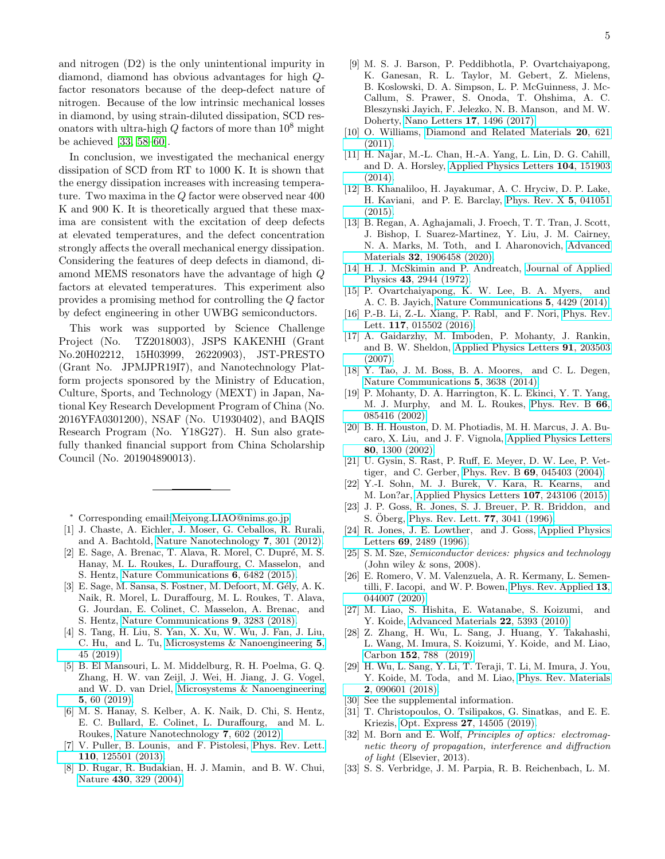and nitrogen (D2) is the only unintentional impurity in diamond, diamond has obvious advantages for high Qfactor resonators because of the deep-defect nature of nitrogen. Because of the low intrinsic mechanical losses in diamond, by using strain-diluted dissipation, SCD resonators with ultra-high  $Q$  factors of more than  $10^8$  might be achieved [\[33,](#page-4-26) [58](#page-5-22)[–60\]](#page-5-23).

In conclusion, we investigated the mechanical energy dissipation of SCD from RT to 1000 K. It is shown that the energy dissipation increases with increasing temperature. Two maxima in the Q factor were observed near 400 K and 900 K. It is theoretically argued that these maxima are consistent with the excitation of deep defects at elevated temperatures, and the defect concentration strongly affects the overall mechanical energy dissipation. Considering the features of deep defects in diamond, diamond MEMS resonators have the advantage of high Q factors at elevated temperatures. This experiment also provides a promising method for controlling the Q factor by defect engineering in other UWBG semiconductors.

This work was supported by Science Challenge Project (No. TZ2018003), JSPS KAKENHI (Grant No.20H02212, 15H03999, 26220903), JST-PRESTO (Grant No. JPMJPR19I7), and Nanotechnology Platform projects sponsored by the Ministry of Education, Culture, Sports, and Technology (MEXT) in Japan, National Key Research Development Program of China (No. 2016YFA0301200), NSAF (No. U1930402), and BAQIS Research Program (No. Y18G27). H. Sun also gratefully thanked financial support from China Scholarship Council (No. 201904890013).

<span id="page-4-0"></span><sup>∗</sup> Corresponding email[:Meiyong.LIAO@nims.go.jp](mailto:Meiyong.LIAO@nims.go.jp)

- <span id="page-4-1"></span>[1] J. Chaste, A. Eichler, J. Moser, G. Ceballos, R. Rurali, and A. Bachtold, [Nature Nanotechnology](http://dx.doi.org/ 10.1038/nnano.2012.42) 7, 301 (2012).
- $[2]$  E. Sage, A. Brenac, T. Alava, R. Morel, C. Dupré, M. S. Hanay, M. L. Roukes, L. Duraffourg, C. Masselon, and S. Hentz, [Nature Communications](http://dx.doi.org/ 10.1038/ncomms7482) 6, 6482 (2015).
- <span id="page-4-2"></span>[3] E. Sage, M. Sansa, S. Fostner, M. Defoort, M. Gély, A. K. Naik, R. Morel, L. Duraffourg, M. L. Roukes, T. Alava, G. Jourdan, E. Colinet, C. Masselon, A. Brenac, and S. Hentz, [Nature Communications](http://dx.doi.org/ 10.1038/s41467-018-05783-4) 9, 3283 (2018).
- <span id="page-4-3"></span>[4] S. Tang, H. Liu, S. Yan, X. Xu, W. Wu, J. Fan, J. Liu, C. Hu, and L. Tu, [Microsystems & Nanoengineering](http://dx.doi.org/ 10.1038/s41378-019-0089-7) 5, [45 \(2019\).](http://dx.doi.org/ 10.1038/s41378-019-0089-7)
- <span id="page-4-4"></span>[5] B. El Mansouri, L. M. Middelburg, R. H. Poelma, G. Q. Zhang, H. W. van Zeijl, J. Wei, H. Jiang, J. G. Vogel, and W. D. van Driel, [Microsystems & Nanoengineering](http://dx.doi.org/ 10.1038/s41378-019-0105-y) 5[, 60 \(2019\).](http://dx.doi.org/ 10.1038/s41378-019-0105-y)
- <span id="page-4-5"></span>[6] M. S. Hanay, S. Kelber, A. K. Naik, D. Chi, S. Hentz, E. C. Bullard, E. Colinet, L. Duraffourg, and M. L. Roukes, [Nature Nanotechnology](http://dx.doi.org/10.1038/nnano.2012.119) 7, 602 (2012).
- <span id="page-4-6"></span>[7] V. Puller, B. Lounis, and F. Pistolesi, [Phys. Rev. Lett.](http://dx.doi.org/10.1103/PhysRevLett.110.125501) 110[, 125501 \(2013\).](http://dx.doi.org/10.1103/PhysRevLett.110.125501)
- <span id="page-4-7"></span>[8] D. Rugar, R. Budakian, H. J. Mamin, and B. W. Chui, Nature 430[, 329 \(2004\).](https://doi.org/10.1038/nature02658)
- <span id="page-4-8"></span>[9] M. S. J. Barson, P. Peddibhotla, P. Ovartchaiyapong, K. Ganesan, R. L. Taylor, M. Gebert, Z. Mielens, B. Koslowski, D. A. Simpson, L. P. McGuinness, J. Mc-Callum, S. Prawer, S. Onoda, T. Ohshima, A. C. Bleszynski Jayich, F. Jelezko, N. B. Manson, and M. W. Doherty, Nano Letters 17[, 1496 \(2017\).](http://dx.doi.org/10.1021/acs.nanolett.6b04544)
- <span id="page-4-9"></span>[10] O. Williams, [Diamond and Related Materials](http://dx.doi.org/https://doi.org/10.1016/j.diamond.2011.02.015) 20, 621 [\(2011\).](http://dx.doi.org/https://doi.org/10.1016/j.diamond.2011.02.015)
- [11] H. Najar, M.-L. Chan, H.-A. Yang, L. Lin, D. G. Cahill, and D. A. Horsley, [Applied Physics Letters](http://dx.doi.org/ 10.1063/1.4871803) 104, 151903  $(2014)$ .
- [12] B. Khanaliloo, H. Jayakumar, A. C. Hryciw, D. P. Lake, H. Kaviani, and P. E. Barclay, [Phys. Rev. X](http://dx.doi.org/10.1103/PhysRevX.5.041051) 5, 041051 [\(2015\).](http://dx.doi.org/10.1103/PhysRevX.5.041051)
- [13] B. Regan, A. Aghajamali, J. Froech, T. T. Tran, J. Scott, J. Bishop, I. Suarez-Martinez, Y. Liu, J. M. Cairney, N. A. Marks, M. Toth, and I. Aharonovich, [Advanced](http://dx.doi.org/10.1002/adma.201906458) Materials 32[, 1906458 \(2020\).](http://dx.doi.org/10.1002/adma.201906458)
- <span id="page-4-10"></span>[14] H. J. McSkimin and P. Andreatch, [Journal of Applied](http://dx.doi.org/10.1063/1.1661636) Physics 43[, 2944 \(1972\).](http://dx.doi.org/10.1063/1.1661636)
- <span id="page-4-11"></span>[15] P. Ovartchaiyapong, K. W. Lee, B. A. Myers, and A. C. B. Jayich, [Nature Communications](https://doi.org/10.1038/ncomms5429) 5, 4429 (2014).
- <span id="page-4-12"></span>[16] P.-B. Li, Z.-L. Xiang, P. Rabl, and F. Nori, [Phys. Rev.](http://dx.doi.org/ 10.1103/PhysRevLett.117.015502) Lett. 117[, 015502 \(2016\).](http://dx.doi.org/ 10.1103/PhysRevLett.117.015502)
- <span id="page-4-13"></span>[17] A. Gaidarzhy, M. Imboden, P. Mohanty, J. Rankin, and B. W. Sheldon, [Applied Physics Letters](http://dx.doi.org/ 10.1063/1.2804573) 91, 203503 [\(2007\).](http://dx.doi.org/ 10.1063/1.2804573)
- <span id="page-4-14"></span>[18] Y. Tao, J. M. Boss, B. A. Moores, and C. L. Degen, [Nature Communications](https://doi.org/10.1038/ncomms4638) 5, 3638 (2014).
- <span id="page-4-15"></span>[19] P. Mohanty, D. A. Harrington, K. L. Ekinci, Y. T. Yang, M. J. Murphy, and M. L. Roukes, [Phys. Rev. B](http://dx.doi.org/10.1103/PhysRevB.66.085416) 66, [085416 \(2002\).](http://dx.doi.org/10.1103/PhysRevB.66.085416)
- [20] B. H. Houston, D. M. Photiadis, M. H. Marcus, J. A. Bucaro, X. Liu, and J. F. Vignola, [Applied Physics Letters](http://dx.doi.org/ 10.1063/1.1449534) 80[, 1300 \(2002\).](http://dx.doi.org/ 10.1063/1.1449534)
- <span id="page-4-16"></span>[21] U. Gysin, S. Rast, P. Ruff, E. Meyer, D. W. Lee, P. Vettiger, and C. Gerber, Phys. Rev. B 69[, 045403 \(2004\).](http://dx.doi.org/10.1103/PhysRevB.69.045403)
- <span id="page-4-17"></span>[22] Y.-I. Sohn, M. J. Burek, V. Kara, R. Kearns, and M. Lon?ar, [Applied Physics Letters](http://dx.doi.org/ 10.1063/1.4937625) 107, 243106 (2015).
- [23] J. P. Goss, R. Jones, S. J. Breuer, P. R. Briddon, and S. Öberg, [Phys. Rev. Lett.](http://dx.doi.org/ 10.1103/PhysRevLett.77.3041) **77**, 3041 (1996).
- <span id="page-4-18"></span>[24] R. Jones, J. E. Lowther, and J. Goss, [Applied Physics](http://dx.doi.org/10.1063/1.117715) Letters 69[, 2489 \(1996\).](http://dx.doi.org/10.1063/1.117715)
- <span id="page-4-19"></span>[25] S. M. Sze, Semiconductor devices: physics and technology (John wiley & sons, 2008).
- <span id="page-4-20"></span>[26] E. Romero, V. M. Valenzuela, A. R. Kermany, L. Sementilli, F. Iacopi, and W. P. Bowen, [Phys. Rev. Applied](http://dx.doi.org/ 10.1103/PhysRevApplied.13.044007) 13, [044007 \(2020\).](http://dx.doi.org/ 10.1103/PhysRevApplied.13.044007)
- <span id="page-4-21"></span>[27] M. Liao, S. Hishita, E. Watanabe, S. Koizumi, and Y. Koide, [Advanced Materials](http://dx.doi.org/ 10.1002/adma.201003074) 22, 5393 (2010).
- <span id="page-4-22"></span>[28] Z. Zhang, H. Wu, L. Sang, J. Huang, Y. Takahashi, L. Wang, M. Imura, S. Koizumi, Y. Koide, and M. Liao, Carbon 152[, 788 \(2019\).](http://dx.doi.org/ https://doi.org/10.1016/j.carbon.2019.06.072)
- <span id="page-4-23"></span>[29] H. Wu, L. Sang, Y. Li, T. Teraji, T. Li, M. Imura, J. You, Y. Koide, M. Toda, and M. Liao, [Phys. Rev. Materials](http://dx.doi.org/ 10.1103/PhysRevMaterials.2.090601) 2[, 090601 \(2018\).](http://dx.doi.org/ 10.1103/PhysRevMaterials.2.090601)
- <span id="page-4-24"></span>[30] See the supplemental information.
- [31] T. Christopoulos, O. Tsilipakos, G. Sinatkas, and E. E. Kriezis, Opt. Express 27[, 14505 \(2019\).](http://dx.doi.org/10.1364/OE.27.014505)
- <span id="page-4-25"></span>[32] M. Born and E. Wolf, *Principles of optics: electromag*netic theory of propagation, interference and diffraction of light (Elsevier, 2013).
- <span id="page-4-26"></span>[33] S. S. Verbridge, J. M. Parpia, R. B. Reichenbach, L. M.